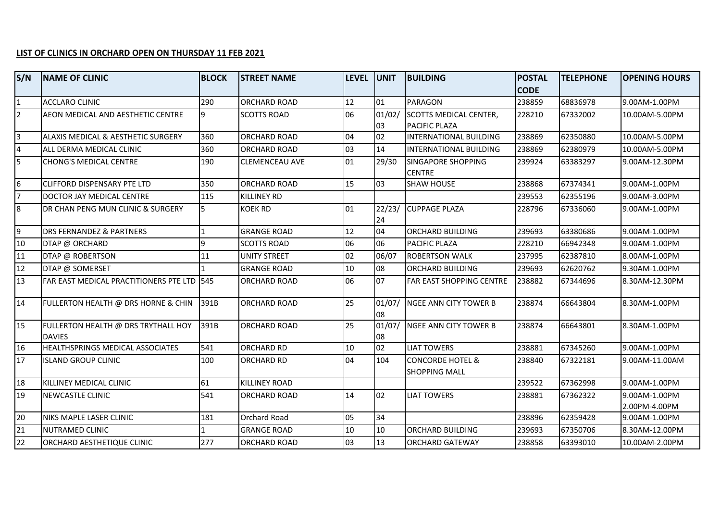## **LIST OF CLINICS IN ORCHARD OPEN ON THURSDAY 11 FEB 2021**

| S/N            | <b>NAME OF CLINIC</b>                                | <b>BLOCK</b> | <b>STREET NAME</b>    | <b>LEVEL</b> | <b>UNIT</b>  | <b>BUILDING</b>                                     | <b>POSTAL</b> | <b>TELEPHONE</b> | <b>OPENING HOURS</b>           |
|----------------|------------------------------------------------------|--------------|-----------------------|--------------|--------------|-----------------------------------------------------|---------------|------------------|--------------------------------|
|                |                                                      |              |                       |              |              |                                                     | <b>CODE</b>   |                  |                                |
| $\mathbf{1}$   | <b>ACCLARO CLINIC</b>                                | 290          | ORCHARD ROAD          | 12           | 01           | <b>PARAGON</b>                                      | 238859        | 68836978         | 9.00AM-1.00PM                  |
| $\overline{2}$ | AEON MEDICAL AND AESTHETIC CENTRE                    | 9            | <b>SCOTTS ROAD</b>    | 06           | 01/02/       | <b>SCOTTS MEDICAL CENTER,</b>                       | 228210        | 67332002         | 10.00AM-5.00PM                 |
|                |                                                      |              |                       |              | 03           | PACIFIC PLAZA                                       |               |                  |                                |
| $\overline{3}$ | ALAXIS MEDICAL & AESTHETIC SURGERY                   | 360          | <b>ORCHARD ROAD</b>   | 04           | 02           | <b>INTERNATIONAL BUILDING</b>                       | 238869        | 62350880         | 10.00AM-5.00PM                 |
| $\overline{4}$ | ALL DERMA MEDICAL CLINIC                             | 360          | <b>ORCHARD ROAD</b>   | 03           | 14           | <b>INTERNATIONAL BUILDING</b>                       | 238869        | 62380979         | 10.00AM-5.00PM                 |
| 5              | <b>CHONG'S MEDICAL CENTRE</b>                        | 190          | <b>CLEMENCEAU AVE</b> | 01           | 29/30        | <b>SINGAPORE SHOPPING</b><br><b>CENTRE</b>          | 239924        | 63383297         | 9.00AM-12.30PM                 |
| 6              | <b>CLIFFORD DISPENSARY PTE LTD</b>                   | 350          | <b>ORCHARD ROAD</b>   | 15           | 03           | <b>SHAW HOUSE</b>                                   | 238868        | 67374341         | 9.00AM-1.00PM                  |
| $\overline{7}$ | DOCTOR JAY MEDICAL CENTRE                            | 115          | <b>KILLINEY RD</b>    |              |              |                                                     | 239553        | 62355196         | 9.00AM-3.00PM                  |
| $8\phantom{.}$ | DR CHAN PENG MUN CLINIC & SURGERY                    | 5            | <b>KOEK RD</b>        | 01           | 22/23/<br>24 | <b>CUPPAGE PLAZA</b>                                | 228796        | 67336060         | 9.00AM-1.00PM                  |
| 9              | DRS FERNANDEZ & PARTNERS                             | 1            | <b>GRANGE ROAD</b>    | 12           | 04           | ORCHARD BUILDING                                    | 239693        | 63380686         | 9.00AM-1.00PM                  |
| 10             | DTAP @ ORCHARD                                       | 9            | <b>SCOTTS ROAD</b>    | 06           | 06           | PACIFIC PLAZA                                       | 228210        | 66942348         | 9.00AM-1.00PM                  |
| 11             | DTAP @ ROBERTSON                                     | 11           | <b>UNITY STREET</b>   | 02           | 06/07        | <b>ROBERTSON WALK</b>                               | 237995        | 62387810         | 8.00AM-1.00PM                  |
| 12             | DTAP @ SOMERSET                                      |              | <b>GRANGE ROAD</b>    | 10           | 08           | ORCHARD BUILDING                                    | 239693        | 62620762         | 9.30AM-1.00PM                  |
| 13             | FAR EAST MEDICAL PRACTITIONERS PTE LTD 545           |              | <b>ORCHARD ROAD</b>   | 06           | 07           | <b>FAR EAST SHOPPING CENTRE</b>                     | 238882        | 67344696         | 8.30AM-12.30PM                 |
| 14             | FULLERTON HEALTH @ DRS HORNE & CHIN                  | 391B         | <b>ORCHARD ROAD</b>   | 25           | 01/07/<br>08 | <b>NGEE ANN CITY TOWER B</b>                        | 238874        | 66643804         | 8.30AM-1.00PM                  |
| 15             | FULLERTON HEALTH @ DRS TRYTHALL HOY<br><b>DAVIES</b> | 391B         | <b>ORCHARD ROAD</b>   | 25           | 01/07/<br>08 | NGEE ANN CITY TOWER B                               | 238874        | 66643801         | 8.30AM-1.00PM                  |
| 16             | HEALTHSPRINGS MEDICAL ASSOCIATES                     | 541          | <b>ORCHARD RD</b>     | 10           | 02           | <b>LIAT TOWERS</b>                                  | 238881        | 67345260         | 9.00AM-1.00PM                  |
| 17             | <b>ISLAND GROUP CLINIC</b>                           | 100          | <b>ORCHARD RD</b>     | 04           | 104          | <b>CONCORDE HOTEL &amp;</b><br><b>SHOPPING MALL</b> | 238840        | 67322181         | 9.00AM-11.00AM                 |
| 18             | KILLINEY MEDICAL CLINIC                              | 61           | <b>KILLINEY ROAD</b>  |              |              |                                                     | 239522        | 67362998         | 9.00AM-1.00PM                  |
| 19             | NEWCASTLE CLINIC                                     | 541          | ORCHARD ROAD          | 14           | 02           | <b>LIAT TOWERS</b>                                  | 238881        | 67362322         | 9.00AM-1.00PM<br>2.00PM-4.00PM |
| 20             | NIKS MAPLE LASER CLINIC                              | 181          | Orchard Road          | 05           | 34           |                                                     | 238896        | 62359428         | 9.00AM-1.00PM                  |
| 21             | NUTRAMED CLINIC                                      | 1            | <b>GRANGE ROAD</b>    | 10           | 10           | ORCHARD BUILDING                                    | 239693        | 67350706         | 8.30AM-12.00PM                 |
| 22             | <b>ORCHARD AESTHETIQUE CLINIC</b>                    | 277          | ORCHARD ROAD          | 03           | 13           | <b>ORCHARD GATEWAY</b>                              | 238858        | 63393010         | 10.00AM-2.00PM                 |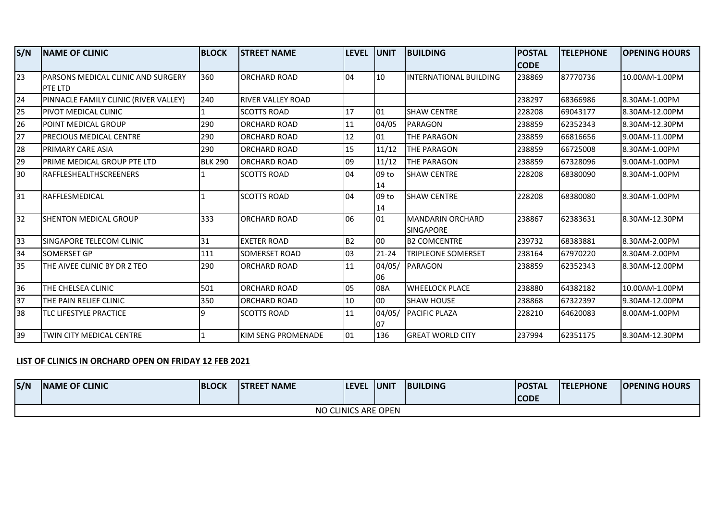| S/N | <b>INAME OF CLINIC</b>                     | <b>BLOCK</b>   | <b>ISTREET NAME</b>      | <b>LEVEL</b> | <b>JUNIT</b> | <b>BUILDING</b>               | <b>POSTAL</b> | <b>TELEPHONE</b> | <b>OPENING HOURS</b> |
|-----|--------------------------------------------|----------------|--------------------------|--------------|--------------|-------------------------------|---------------|------------------|----------------------|
|     |                                            |                |                          |              |              |                               | <b>CODE</b>   |                  |                      |
| 23  | <b>IPARSONS MEDICAL CLINIC AND SURGERY</b> | 360            | <b>ORCHARD ROAD</b>      | 04           | 10           | <b>INTERNATIONAL BUILDING</b> | 238869        | 87770736         | 10.00AM-1.00PM       |
|     | <b>PTE LTD</b>                             |                |                          |              |              |                               |               |                  |                      |
| 24  | PINNACLE FAMILY CLINIC (RIVER VALLEY)      | 240            | <b>RIVER VALLEY ROAD</b> |              |              |                               | 238297        | 68366986         | 8.30AM-1.00PM        |
| 25  | PIVOT MEDICAL CLINIC                       |                | <b>SCOTTS ROAD</b>       | 17           | 01           | <b>SHAW CENTRE</b>            | 228208        | 69043177         | 8.30AM-12.00PM       |
| 26  | POINT MEDICAL GROUP                        | 290            | <b>ORCHARD ROAD</b>      | 11           | 04/05        | <b>PARAGON</b>                | 238859        | 62352343         | 8.30AM-12.30PM       |
| 27  | PRECIOUS MEDICAL CENTRE                    | 290            | <b>ORCHARD ROAD</b>      | 12           | 01           | THE PARAGON                   | 238859        | 66816656         | 9.00AM-11.00PM       |
| 28  | PRIMARY CARE ASIA                          | 290            | <b>ORCHARD ROAD</b>      | 15           | 11/12        | THE PARAGON                   | 238859        | 66725008         | 8.30AM-1.00PM        |
| 29  | PRIME MEDICAL GROUP PTE LTD                | <b>BLK 290</b> | <b>ORCHARD ROAD</b>      | 09           | 11/12        | THE PARAGON                   | 238859        | 67328096         | 9.00AM-1.00PM        |
| 130 | <b>IRAFFLESHEALTHSCREENERS</b>             |                | <b>SCOTTS ROAD</b>       | 04           | 09 to        | <b>I</b> SHAW CENTRE          | 228208        | 68380090         | 8.30AM-1.00PM        |
|     |                                            |                |                          |              | 14           |                               |               |                  |                      |
| 31  | RAFFLESMEDICAL                             |                | <b>SCOTTS ROAD</b>       | 04           | 09 to        | <b>SHAW CENTRE</b>            | 228208        | 68380080         | 8.30AM-1.00PM        |
|     |                                            |                |                          |              | 14           |                               |               |                  |                      |
| 32  | <b>SHENTON MEDICAL GROUP</b>               | 333            | <b>ORCHARD ROAD</b>      | 06           | 01           | <b>MANDARIN ORCHARD</b>       | 238867        | 62383631         | 8.30AM-12.30PM       |
|     |                                            |                |                          |              |              | <b>SINGAPORE</b>              |               |                  |                      |
| 33  | SINGAPORE TELECOM CLINIC                   | 31             | <b>EXETER ROAD</b>       | <b>B2</b>    | 00           | <b>B2 COMCENTRE</b>           | 239732        | 68383881         | 8.30AM-2.00PM        |
| 34  | <b>SOMERSET GP</b>                         | 111            | SOMERSET ROAD            | 03           | $21 - 24$    | TRIPLEONE SOMERSET            | 238164        | 67970220         | 8.30AM-2.00PM        |
| 35  | THE AIVEE CLINIC BY DR Z TEO               | 290            | <b>ORCHARD ROAD</b>      | 11           | 04/05/       | PARAGON                       | 238859        | 62352343         | 8.30AM-12.00PM       |
|     |                                            |                |                          |              | 06           |                               |               |                  |                      |
| 36  | THE CHELSEA CLINIC                         | 501            | <b>ORCHARD ROAD</b>      | 05           | 08A          | <b>WHEELOCK PLACE</b>         | 238880        | 64382182         | 10.00AM-1.00PM       |
| 37  | THE PAIN RELIEF CLINIC                     | 350            | <b>ORCHARD ROAD</b>      | 10           | 00           | <b>SHAW HOUSE</b>             | 238868        | 67322397         | 9.30AM-12.00PM       |
| 38  | TLC LIFESTYLE PRACTICE                     | q              | <b>SCOTTS ROAD</b>       | 11           | 04/05/       | <b>PACIFIC PLAZA</b>          | 228210        | 64620083         | 8.00AM-1.00PM        |
|     |                                            |                |                          |              | 07           |                               |               |                  |                      |
| 39  | TWIN CITY MEDICAL CENTRE                   |                | KIM SENG PROMENADE       | 01           | 136          | <b>GREAT WORLD CITY</b>       | 237994        | 62351175         | 8.30AM-12.30PM       |

## **LIST OF CLINICS IN ORCHARD OPEN ON FRIDAY 12 FEB 2021**

| S/N | <b>INAME OF CLINIC</b> | <b>BLOCK</b> | <b>ISTREET NAME</b> | <b>LEVEL</b> | <b>UNIT</b> | <b>BUILDING</b> | <b>POSTAL</b><br><b>CODE</b> | <b>ITELEPHONE</b> | <b>IOPENING HOURS</b> |  |
|-----|------------------------|--------------|---------------------|--------------|-------------|-----------------|------------------------------|-------------------|-----------------------|--|
|     |                        |              |                     |              |             |                 |                              |                   |                       |  |
|     | NO CLINICS ARE OPEN    |              |                     |              |             |                 |                              |                   |                       |  |